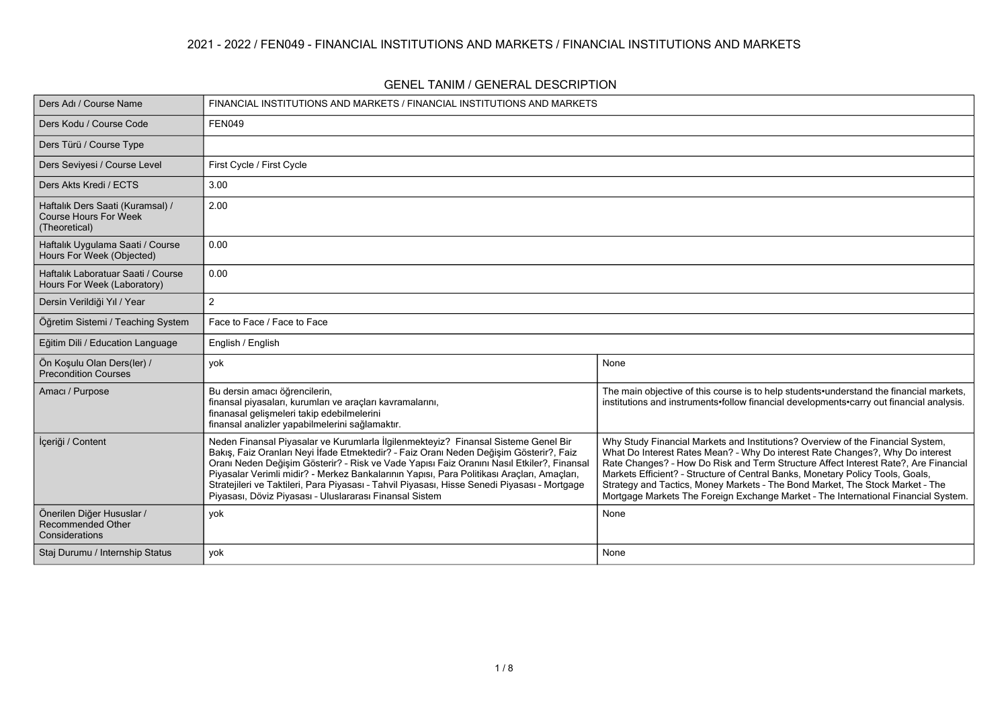#### **2021 - 2022 / FEN049 - FINANCIAL INSTITUTIONS AND MARKETS / FINANCIAL INSTITUTIONS AND MARKETS**

| Ders Adı / Course Name                                                            | FINANCIAL INSTITUTIONS AND MARKETS / FINANCIAL INSTITUTIONS AND MARKETS                                                                                                                                                                                                                                                                                                                                                                                                                                                            |                                                                                                                                                                                                                                                                                                                                                                                                                                                                                                                  |  |  |  |
|-----------------------------------------------------------------------------------|------------------------------------------------------------------------------------------------------------------------------------------------------------------------------------------------------------------------------------------------------------------------------------------------------------------------------------------------------------------------------------------------------------------------------------------------------------------------------------------------------------------------------------|------------------------------------------------------------------------------------------------------------------------------------------------------------------------------------------------------------------------------------------------------------------------------------------------------------------------------------------------------------------------------------------------------------------------------------------------------------------------------------------------------------------|--|--|--|
| Ders Kodu / Course Code                                                           | <b>FEN049</b>                                                                                                                                                                                                                                                                                                                                                                                                                                                                                                                      |                                                                                                                                                                                                                                                                                                                                                                                                                                                                                                                  |  |  |  |
| Ders Türü / Course Type                                                           |                                                                                                                                                                                                                                                                                                                                                                                                                                                                                                                                    |                                                                                                                                                                                                                                                                                                                                                                                                                                                                                                                  |  |  |  |
| Ders Seviyesi / Course Level                                                      | First Cycle / First Cycle                                                                                                                                                                                                                                                                                                                                                                                                                                                                                                          |                                                                                                                                                                                                                                                                                                                                                                                                                                                                                                                  |  |  |  |
| Ders Akts Kredi / ECTS                                                            | 3.00                                                                                                                                                                                                                                                                                                                                                                                                                                                                                                                               |                                                                                                                                                                                                                                                                                                                                                                                                                                                                                                                  |  |  |  |
| Haftalık Ders Saati (Kuramsal) /<br><b>Course Hours For Week</b><br>(Theoretical) | 2.00                                                                                                                                                                                                                                                                                                                                                                                                                                                                                                                               |                                                                                                                                                                                                                                                                                                                                                                                                                                                                                                                  |  |  |  |
| Haftalık Uygulama Saati / Course<br>Hours For Week (Objected)                     | 0.00                                                                                                                                                                                                                                                                                                                                                                                                                                                                                                                               |                                                                                                                                                                                                                                                                                                                                                                                                                                                                                                                  |  |  |  |
| Haftalık Laboratuar Saati / Course<br>Hours For Week (Laboratory)                 | 0.00                                                                                                                                                                                                                                                                                                                                                                                                                                                                                                                               |                                                                                                                                                                                                                                                                                                                                                                                                                                                                                                                  |  |  |  |
| Dersin Verildiği Yıl / Year                                                       | $\overline{2}$                                                                                                                                                                                                                                                                                                                                                                                                                                                                                                                     |                                                                                                                                                                                                                                                                                                                                                                                                                                                                                                                  |  |  |  |
| Öğretim Sistemi / Teaching System                                                 | Face to Face / Face to Face                                                                                                                                                                                                                                                                                                                                                                                                                                                                                                        |                                                                                                                                                                                                                                                                                                                                                                                                                                                                                                                  |  |  |  |
| Eğitim Dili / Education Language                                                  | English / English                                                                                                                                                                                                                                                                                                                                                                                                                                                                                                                  |                                                                                                                                                                                                                                                                                                                                                                                                                                                                                                                  |  |  |  |
| Ön Koşulu Olan Ders(ler) /<br><b>Precondition Courses</b>                         | yok                                                                                                                                                                                                                                                                                                                                                                                                                                                                                                                                | None                                                                                                                                                                                                                                                                                                                                                                                                                                                                                                             |  |  |  |
| Amacı / Purpose                                                                   | Bu dersin amacı öğrencilerin,<br>finansal piyasaları, kurumları ve araçları kavramalarını,<br>finanasal gelişmeleri takip edebilmelerini<br>finansal analizler yapabilmelerini sağlamaktır.                                                                                                                                                                                                                                                                                                                                        | The main objective of this course is to help students understand the financial markets,<br>institutions and instruments•follow financial developments•carry out financial analysis.                                                                                                                                                                                                                                                                                                                              |  |  |  |
| İçeriği / Content                                                                 | Neden Finansal Piyasalar ve Kurumlarla İlgilenmekteyiz? Finansal Sisteme Genel Bir<br>Bakış, Faiz Oranları Neyi İfade Etmektedir? - Faiz Oranı Neden Değişim Gösterir?, Faiz<br>Oranı Neden Değişim Gösterir? - Risk ve Vade Yapısı Faiz Oranını Nasıl Etkiler?, Finansal<br>Piyasalar Verimli midir? - Merkez Bankalarının Yapısı, Para Politikası Araçları, Amaçları,<br>Stratejileri ve Taktileri, Para Piyasası - Tahvil Piyasası, Hisse Senedi Piyasası - Mortgage<br>Piyasası, Döviz Piyasası - Uluslararası Finansal Sistem | Why Study Financial Markets and Institutions? Overview of the Financial System,<br>What Do Interest Rates Mean? - Why Do interest Rate Changes?, Why Do interest<br>Rate Changes? - How Do Risk and Term Structure Affect Interest Rate?, Are Financial<br>Markets Efficient? - Structure of Central Banks, Monetary Policy Tools, Goals,<br>Strategy and Tactics, Money Markets - The Bond Market, The Stock Market - The<br>Mortgage Markets The Foreign Exchange Market - The International Financial System. |  |  |  |
| Önerilen Diğer Hususlar /<br><b>Recommended Other</b><br>Considerations           | yok                                                                                                                                                                                                                                                                                                                                                                                                                                                                                                                                | None                                                                                                                                                                                                                                                                                                                                                                                                                                                                                                             |  |  |  |
| Staj Durumu / Internship Status                                                   | yok                                                                                                                                                                                                                                                                                                                                                                                                                                                                                                                                | None                                                                                                                                                                                                                                                                                                                                                                                                                                                                                                             |  |  |  |

#### **GENEL TANIM / GENERAL DESCRIPTION**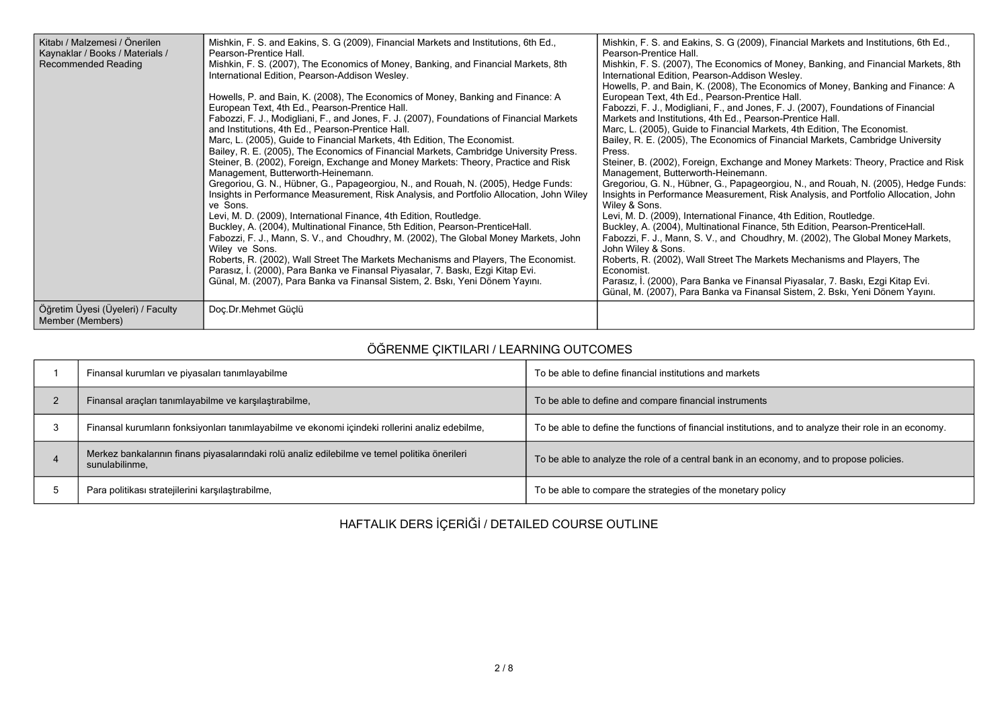| Kitabı / Malzemesi / Önerilen<br>Kaynaklar / Books / Materials /<br><b>Recommended Reading</b> | Mishkin, F. S. and Eakins, S. G (2009), Financial Markets and Institutions, 6th Ed.,<br>Pearson-Prentice Hall.<br>Mishkin, F. S. (2007), The Economics of Money, Banking, and Financial Markets, 8th<br>International Edition, Pearson-Addison Wesley.<br>Howells, P. and Bain, K. (2008), The Economics of Money, Banking and Finance: A<br>European Text, 4th Ed., Pearson-Prentice Hall.<br>Fabozzi, F. J., Modigliani, F., and Jones, F. J. (2007), Foundations of Financial Markets<br>and Institutions, 4th Ed., Pearson-Prentice Hall.<br>Marc, L. (2005), Guide to Financial Markets, 4th Edition, The Economist.<br>Bailey, R. E. (2005), The Economics of Financial Markets, Cambridge University Press.<br>Steiner, B. (2002), Foreign, Exchange and Money Markets: Theory, Practice and Risk<br>Management, Butterworth-Heinemann.<br>Gregoriou, G. N., Hübner, G., Papageorgiou, N., and Rouah, N. (2005), Hedge Funds:<br>Insights in Performance Measurement, Risk Analysis, and Portfolio Allocation, John Wiley<br>ve Sons.<br>Levi, M. D. (2009), International Finance, 4th Edition, Routledge.<br>Buckley, A. (2004), Multinational Finance, 5th Edition, Pearson-PrenticeHall.<br>Fabozzi, F. J., Mann, S. V., and Choudhry, M. (2002), The Global Money Markets, John<br>Wiley ve Sons.<br>Roberts, R. (2002), Wall Street The Markets Mechanisms and Players, The Economist.<br>Parasız, İ. (2000), Para Banka ve Finansal Piyasalar, 7. Baskı, Ezgi Kitap Evi.<br>Günal, M. (2007), Para Banka va Finansal Sistem, 2. Bski, Yeni Dönem Yayını. | Mishkin, F. S. and Eakins, S. G (2009), Financial Markets and Institutions, 6th Ed.,<br>Pearson-Prentice Hall.<br>Mishkin, F. S. (2007), The Economics of Money, Banking, and Financial Markets, 8th<br>International Edition, Pearson-Addison Wesley.<br>Howells, P. and Bain, K. (2008), The Economics of Money, Banking and Finance: A<br>European Text, 4th Ed., Pearson-Prentice Hall.<br>Fabozzi, F. J., Modigliani, F., and Jones, F. J. (2007), Foundations of Financial<br>Markets and Institutions, 4th Ed., Pearson-Prentice Hall.<br>Marc, L. (2005), Guide to Financial Markets, 4th Edition, The Economist.<br>Bailey, R. E. (2005), The Economics of Financial Markets, Cambridge University<br>Press.<br>Steiner, B. (2002), Foreign, Exchange and Money Markets: Theory, Practice and Risk<br>Management, Butterworth-Heinemann.<br>Gregoriou, G. N., Hübner, G., Papageorgiou, N., and Rouah, N. (2005), Hedge Funds:<br>Insights in Performance Measurement, Risk Analysis, and Portfolio Allocation, John<br>Wiley & Sons.<br>Levi, M. D. (2009), International Finance, 4th Edition, Routledge.<br>Buckley, A. (2004), Multinational Finance, 5th Edition, Pearson-PrenticeHall.<br>Fabozzi, F. J., Mann, S. V., and Choudhry, M. (2002), The Global Money Markets,<br>John Wiley & Sons.<br>Roberts, R. (2002), Wall Street The Markets Mechanisms and Players, The<br>Economist.<br>Parasız, I. (2000), Para Banka ve Finansal Piyasalar, 7. Baskı, Ezgi Kitap Evi.<br>Günal, M. (2007), Para Banka va Finansal Sistem, 2. Bskı, Yeni Dönem Yayını. |
|------------------------------------------------------------------------------------------------|------------------------------------------------------------------------------------------------------------------------------------------------------------------------------------------------------------------------------------------------------------------------------------------------------------------------------------------------------------------------------------------------------------------------------------------------------------------------------------------------------------------------------------------------------------------------------------------------------------------------------------------------------------------------------------------------------------------------------------------------------------------------------------------------------------------------------------------------------------------------------------------------------------------------------------------------------------------------------------------------------------------------------------------------------------------------------------------------------------------------------------------------------------------------------------------------------------------------------------------------------------------------------------------------------------------------------------------------------------------------------------------------------------------------------------------------------------------------------------------------------------------------------------------------------------------------|----------------------------------------------------------------------------------------------------------------------------------------------------------------------------------------------------------------------------------------------------------------------------------------------------------------------------------------------------------------------------------------------------------------------------------------------------------------------------------------------------------------------------------------------------------------------------------------------------------------------------------------------------------------------------------------------------------------------------------------------------------------------------------------------------------------------------------------------------------------------------------------------------------------------------------------------------------------------------------------------------------------------------------------------------------------------------------------------------------------------------------------------------------------------------------------------------------------------------------------------------------------------------------------------------------------------------------------------------------------------------------------------------------------------------------------------------------------------------------------------------------------------------------------------------------------------------|
| Öğretim Üyesi (Üyeleri) / Faculty<br>Member (Members)                                          | Doç Dr Mehmet Güçlü                                                                                                                                                                                                                                                                                                                                                                                                                                                                                                                                                                                                                                                                                                                                                                                                                                                                                                                                                                                                                                                                                                                                                                                                                                                                                                                                                                                                                                                                                                                                                    |                                                                                                                                                                                                                                                                                                                                                                                                                                                                                                                                                                                                                                                                                                                                                                                                                                                                                                                                                                                                                                                                                                                                                                                                                                                                                                                                                                                                                                                                                                                                                                            |

# **ÖĞRENME ÇIKTILARI / LEARNING OUTCOMES**

|    | Finansal kurumları ve piyasaları tanımlayabilme                                                                 | To be able to define financial institutions and markets                                                |
|----|-----------------------------------------------------------------------------------------------------------------|--------------------------------------------------------------------------------------------------------|
|    | Finansal araçları tanımlayabilme ve karşılaştırabilme,                                                          | To be able to define and compare financial instruments                                                 |
| -3 | Finansal kurumların fonksiyonları tanımlayabilme ve ekonomi içindeki rollerini analiz edebilme,                 | To be able to define the functions of financial institutions, and to analyze their role in an economy. |
|    | Merkez bankalarının finans piyasalarındaki rolü analiz edilebilme ve temel politika önerileri<br>sunulabilinme, | To be able to analyze the role of a central bank in an economy, and to propose policies.               |
|    | Para politikası stratejilerini karşılaştırabilme,                                                               | To be able to compare the strategies of the monetary policy                                            |

**HAFTALIK DERS İÇERİĞİ / DETAILED COURSE OUTLINE**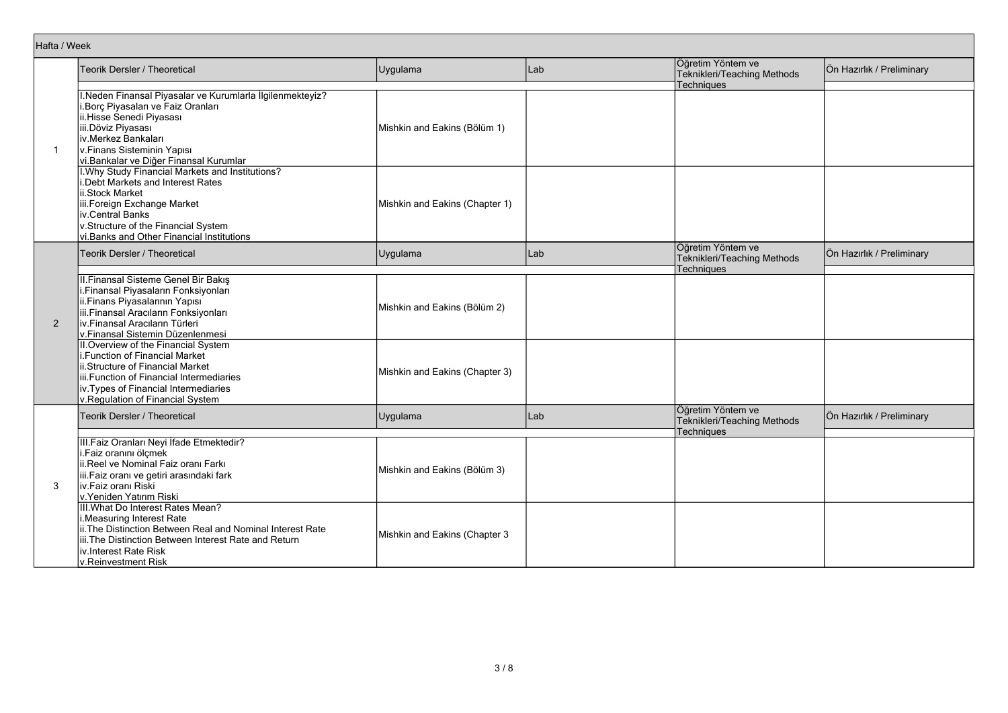| Hafta / Week |                                                                                                                                                                                                                                                  |                                |     |                                                                |                           |
|--------------|--------------------------------------------------------------------------------------------------------------------------------------------------------------------------------------------------------------------------------------------------|--------------------------------|-----|----------------------------------------------------------------|---------------------------|
|              | Teorik Dersler / Theoretical                                                                                                                                                                                                                     | Uygulama                       | Lab | Öğretim Yöntem ve<br>Teknikleri/Teaching Methods               | Ön Hazırlık / Preliminary |
| $\mathbf 1$  | I.Neden Finansal Piyasalar ve Kurumlarla İlgilenmekteyiz?<br>Borç Piyasaları ve Faiz Oranları<br>ii.Hisse Śenedi Piyasası<br>iii.Döviz Piyasası<br>iv.Merkez Bankaları<br>v.Finans Sisteminin Yapısı<br>vi. Bankalar ve Diğer Finansal Kurumlar  | Mishkin and Eakins (Bölüm 1)   |     | Techniques                                                     |                           |
|              | I. Why Study Financial Markets and Institutions?<br>i.Debt Markets and Interest Rates<br>ii.Stock Market<br>iii.Foreign Exchange Market<br>iv.Central Banks<br>v.Structure of the Financial System<br>vi. Banks and Other Financial Institutions | Mishkin and Eakins (Chapter 1) |     |                                                                |                           |
| 2            | <b>Teorik Dersler / Theoretical</b>                                                                                                                                                                                                              | Uygulama                       | Lab | Öğretim Yöntem ve<br>Teknikleri/Teaching Methods<br>Techniques | Ön Hazırlık / Preliminary |
|              | II. Finansal Sisteme Genel Bir Bakış<br>i.Finansal Piyasaların Fonksiyonları<br>ii.Finans Piyasalarının Yapısı<br>iii.Finansal Aracıların Fonksiyonları<br>iv Finansal Aracıların Türleri<br>v.Finansal Sistemin Düzenlenmesi                    | Mishkin and Eakins (Bölüm 2)   |     |                                                                |                           |
|              | II. Overview of the Financial System<br>i.Function of Financial Market<br>ii.Structure of Financial Market<br>iii. Function of Financial Intermediaries<br>iv. Types of Financial Intermediaries<br>v.Regulation of Financial System             | Mishkin and Eakins (Chapter 3) |     |                                                                |                           |
|              | Teorik Dersler / Theoretical                                                                                                                                                                                                                     | Uygulama                       | Lab | Öğretim Yöntem ve<br>Teknikleri/Teaching Methods<br>Techniques | Ön Hazırlık / Preliminary |
| 3            | III. Faiz Oranları Neyi İfade Etmektedir?<br>i.Faiz oranını ölçmek<br>ii.Reel ve Nominal Faiz oranı Farkı<br>iii.Faiz oranı ve getiri arasındaki fark<br>iv.Faiz oranı Riski<br>v.Yeniden Yatırım Riski                                          | Mishkin and Eakins (Bölüm 3)   |     |                                                                |                           |
|              | III. What Do Interest Rates Mean?<br>i.Measuring Interest Rate<br>ii. The Distinction Between Real and Nominal Interest Rate<br>iii. The Distinction Between Interest Rate and Return<br>iv.Interest Rate Risk<br>v.Reinvestment Risk            | Mishkin and Eakins (Chapter 3  |     |                                                                |                           |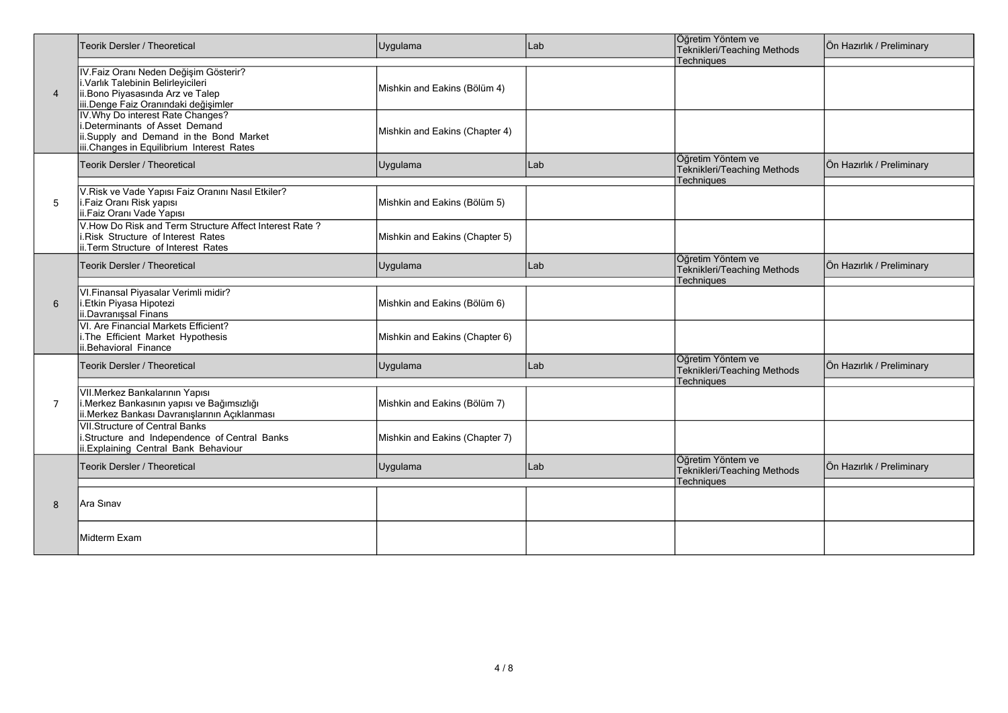| $\overline{4}$ | <b>Teorik Dersler / Theoretical</b>                                                                                                                         | Uygulama                       | Lab | Öğretim Yöntem ve<br>Teknikleri/Teaching Methods                      | Ön Hazırlık / Preliminary |
|----------------|-------------------------------------------------------------------------------------------------------------------------------------------------------------|--------------------------------|-----|-----------------------------------------------------------------------|---------------------------|
|                | IV. Faiz Oranı Neden Değişim Gösterir?<br>I. Varlık Talebinin Belirleyicileri<br>ii.Bono Piyasasında Arz ve Talep<br>iii.Denge Faiz Oranındaki değişimler   | Mishkin and Eakins (Bölüm 4)   |     | <b>Techniques</b>                                                     |                           |
|                | IV. Why Do interest Rate Changes?<br>i.Determinants of Asset Demand<br>ii.Supply and Demand in the Bond Market<br>iii.Changes in Equilibrium Interest Rates | Mishkin and Eakins (Chapter 4) |     |                                                                       |                           |
|                | Teorik Dersler / Theoretical                                                                                                                                | Uygulama                       | Lab | Öğretim Yöntem ve<br>Teknikleri/Teaching Methods<br><b>Techniques</b> | Ön Hazırlık / Preliminary |
| 5              | V.Risk ve Vade Yapısı Faiz Oranını Nasıl Etkiler?<br>i.Faiz Oranı Risk yapısı<br>ii.Faiz Oranı Vade Yapısı                                                  | Mishkin and Eakins (Bölüm 5)   |     |                                                                       |                           |
|                | V. How Do Risk and Term Structure Affect Interest Rate?<br>i.Risk Structure of Interest Rates<br>ii. Term Structure of Interest Rates                       | Mishkin and Eakins (Chapter 5) |     |                                                                       |                           |
|                | Teorik Dersler / Theoretical                                                                                                                                | Uygulama                       | Lab | Öğretim Yöntem ve<br>Teknikleri/Teaching Methods<br>Techniques        | Ön Hazırlık / Preliminary |
| 6              | VI. Finansal Piyasalar Verimli midir?<br>i.Etkin Piyasa Hipotezi<br>ii.Davranişsal Finans                                                                   | Mishkin and Eakins (Bölüm 6)   |     |                                                                       |                           |
|                | VI. Are Financial Markets Efficient?<br>i. The Efficient Market Hypothesis<br>ii.Behavioral Finance                                                         | Mishkin and Eakins (Chapter 6) |     |                                                                       |                           |
|                | Teorik Dersler / Theoretical                                                                                                                                | Uygulama                       | Lab | Öğretim Yöntem ve<br>Teknikleri/Teaching Methods<br><b>Techniques</b> | Ön Hazırlık / Preliminary |
| $\overline{7}$ | VII. Merkez Bankalarının Yapısı<br>i.Merkez Bankasının yapısı ve Bağımsızlığı<br>ii. Merkez Bankası Davranışlarının Açıklanması                             | Mishkin and Eakins (Bölüm 7)   |     |                                                                       |                           |
|                | <b>VII.Structure of Central Banks</b><br>i.Structure and Independence of Central Banks<br>ii. Explaining Central Bank Behaviour                             | Mishkin and Eakins (Chapter 7) |     |                                                                       |                           |
|                | Teorik Dersler / Theoretical                                                                                                                                | Uygulama                       | Lab | Öğretim Yöntem ve<br>Teknikleri/Teaching Methods<br><b>Techniques</b> | Ön Hazırlık / Preliminary |
| 8              | Ara Sınav                                                                                                                                                   |                                |     |                                                                       |                           |
|                | <b>Midterm Exam</b>                                                                                                                                         |                                |     |                                                                       |                           |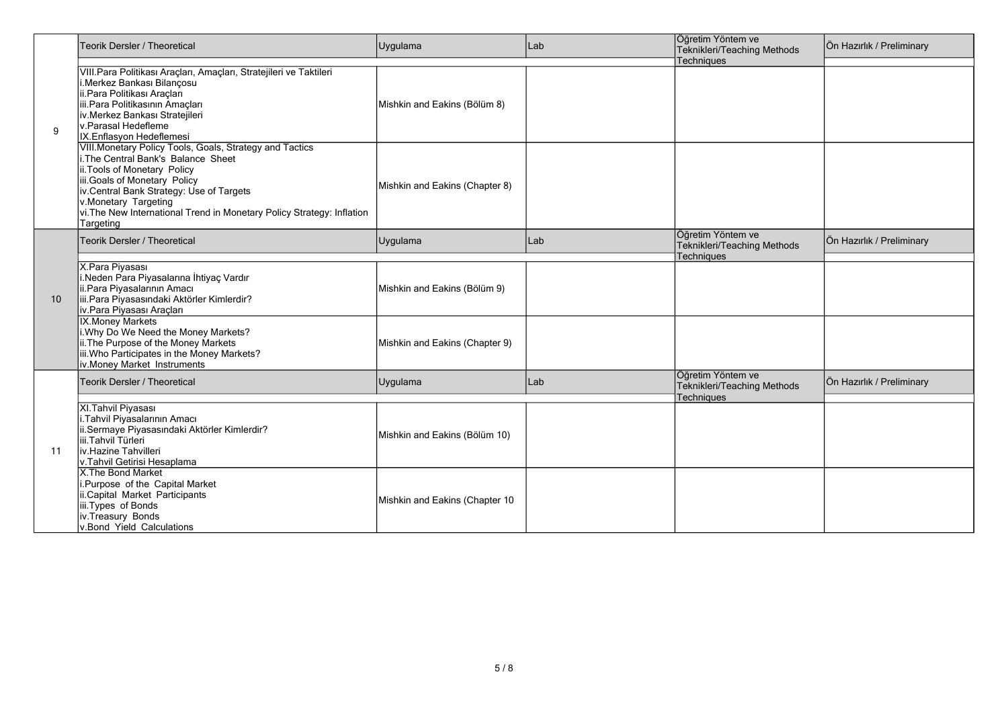| 9  | Teorik Dersler / Theoretical                                                                                                                                                                                                                                                                                              | Uygulama                       | Lab | Öğretim Yöntem ve<br>Teknikleri/Teaching Methods               | Ön Hazırlık / Preliminary |
|----|---------------------------------------------------------------------------------------------------------------------------------------------------------------------------------------------------------------------------------------------------------------------------------------------------------------------------|--------------------------------|-----|----------------------------------------------------------------|---------------------------|
|    | VIII. Para Politikası Araçları, Amaçları, Stratejileri ve Taktileri<br>i.Merkez Bankası Bilançosu<br>ii.Para Politikası Araçları<br>iii.Para Politikasının Amaçları<br>iv.Merkez Bankası Stratejileri<br>lv.Parasal Hedefleme<br>IX.Enflasyon Hedeflemesi                                                                 | Mishkin and Eakins (Bölüm 8)   |     | <b>Techniques</b>                                              |                           |
|    | VIII. Monetary Policy Tools, Goals, Strategy and Tactics<br>i The Central Bank's Balance Sheet<br>ii. Tools of Monetary Policy<br>iii.Goals of Monetary Policy<br>iv Central Bank Strategy: Use of Targets<br>v.Monetary Targeting<br>vi. The New International Trend in Monetary Policy Strategy: Inflation<br>Targeting | Mishkin and Eakins (Chapter 8) |     |                                                                |                           |
| 10 | Teorik Dersler / Theoretical                                                                                                                                                                                                                                                                                              | Uygulama                       | Lab | Öğretim Yöntem ve<br>Teknikleri/Teaching Methods<br>Techniques | Ön Hazırlık / Preliminary |
|    | X.Para Piyasası<br>Neden Para Piyasalarına İhtiyaç Vardır<br>ii.Para Piyasalarının Amacı<br>iii.Para Piyasasındaki Aktörler Kimlerdir?<br>iv.Para Piyasası Araçları                                                                                                                                                       | Mishkin and Eakins (Bölüm 9)   |     |                                                                |                           |
|    | <b>IX.Money Markets</b><br>i. Why Do We Need the Money Markets?<br>ii. The Purpose of the Money Markets<br>iii. Who Participates in the Money Markets?<br>iv Money Market Instruments                                                                                                                                     | Mishkin and Eakins (Chapter 9) |     |                                                                |                           |
|    | Teorik Dersler / Theoretical                                                                                                                                                                                                                                                                                              | Uygulama                       | Lab | Öğretim Yöntem ve<br>Teknikleri/Teaching Methods<br>Techniques | Ön Hazırlık / Preliminary |
| 11 | XI. Tahvil Piyasası<br>Tahvil Piyasalarının Amacı<br>ii.Sermaye Piyasasındaki Aktörler Kimlerdir?<br>iii.Tahvil Türleri<br>liv.Hazine Tahvilleri<br>v.Tahvil Getirisi Hesaplama                                                                                                                                           | Mishkin and Eakins (Bölüm 10)  |     |                                                                |                           |
|    | X. The Bond Market<br>i.Purpose of the Capital Market<br>ii.Capital Market Participants<br>iii.Types of Bonds<br>iv.Treasury Bonds<br>v.Bond Yield Calculations                                                                                                                                                           | Mishkin and Eakins (Chapter 10 |     |                                                                |                           |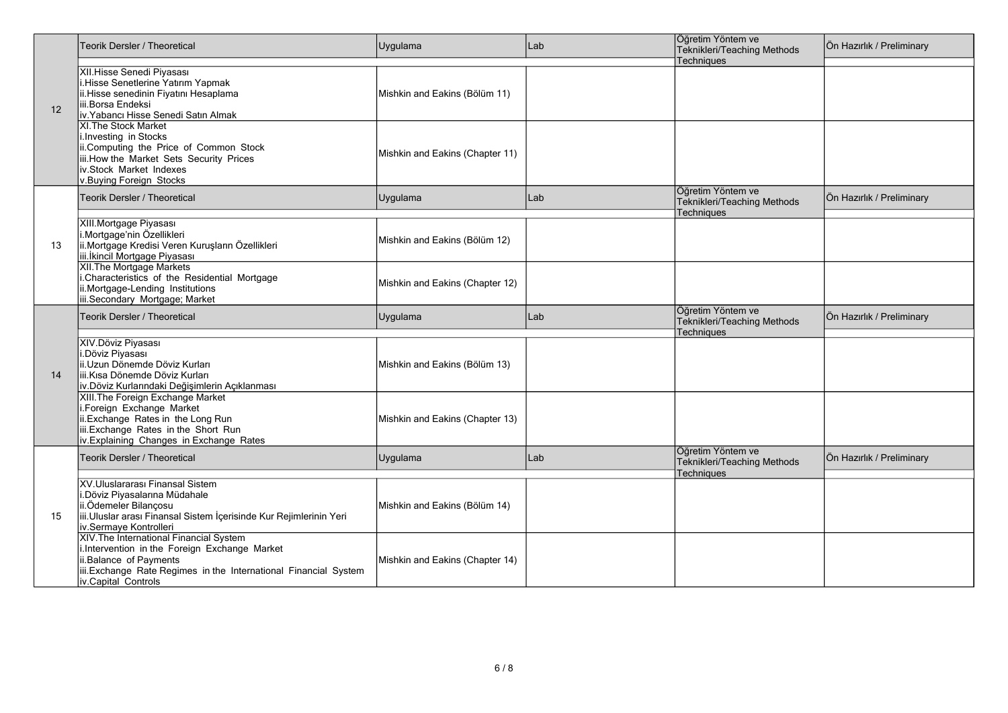|    | Teorik Dersler / Theoretical                                                                                                                                                                                 | Uygulama                        | Lab | Öğretim Yöntem ve<br>Teknikleri/Teaching Methods                      | Ön Hazırlık / Preliminary |
|----|--------------------------------------------------------------------------------------------------------------------------------------------------------------------------------------------------------------|---------------------------------|-----|-----------------------------------------------------------------------|---------------------------|
| 12 | XII.Hisse Senedi Piyasası<br>i.Hisse Senetlerine Yatırım Yapmak<br>ii. Hisse senedinin Fiyatını Hesaplama<br>iii.Borsa Endeksi<br>iv. Yabancı Hisse Senedi Satın Almak                                       | Mishkin and Eakins (Bölüm 11)   |     | Techniques                                                            |                           |
|    | <b>XI. The Stock Market</b><br>i.Investing in Stocks<br>ii.Computing the Price of Common Stock<br>iii. How the Market Sets Security Prices<br>iv.Stock Market Indexes<br>v.Buying Foreign Stocks             | Mishkin and Eakins (Chapter 11) |     |                                                                       |                           |
|    | <b>Teorik Dersler / Theoretical</b>                                                                                                                                                                          | Uygulama                        | Lab | Öğretim Yöntem ve<br>Teknikleri/Teaching Methods<br>Techniques        | Ön Hazırlık / Preliminary |
| 13 | XIII. Mortgage Piyasası<br>i.Mortgage'nin Özellikleri<br>ii.Mortgage Kredisi Veren Kuruşların Özellikleri<br>iii. İkincil Mortgage Piyasası                                                                  | Mishkin and Eakins (Bölüm 12)   |     |                                                                       |                           |
|    | XII The Mortgage Markets<br>i.Characteristics of the Residential Mortgage<br>ii.Mortgage-Lending Institutions<br>iii.Secondary Mortgage; Market                                                              | Mishkin and Eakins (Chapter 12) |     |                                                                       |                           |
|    | Teorik Dersler / Theoretical                                                                                                                                                                                 | Uygulama                        | Lab | Öğretim Yöntem ve<br>Teknikleri/Teaching Methods<br><b>Techniaues</b> | Ön Hazırlık / Preliminary |
| 14 | XIV.Döviz Piyasası<br>i.Döviz Piyasası<br>ii.Uzun Dönemde Döviz Kurları<br>liii.Kısa Dönemde Döviz Kurları<br>iv. Döviz Kurlarındaki Değişimlerin Açıklanması                                                | Mishkin and Eakins (Bölüm 13)   |     |                                                                       |                           |
|    | XIII. The Foreign Exchange Market<br>i.Foreign Exchange Market<br>ii.Exchange Rates in the Long Run<br>iii.Exchange Rates in the Short Run<br>iv.Explaining Changes in Exchange Rates                        | Mishkin and Eakins (Chapter 13) |     |                                                                       |                           |
|    | Teorik Dersler / Theoretical                                                                                                                                                                                 | Uygulama                        | Lab | Öğretim Yöntem ve<br>Teknikleri/Teaching Methods<br><b>Techniques</b> | Ön Hazırlık / Preliminary |
| 15 | XV.Uluslararası Finansal Sistem<br>i.Döviz Piyasalarına Müdahale<br>ii.Ödemeler Bilançosu<br>iii. Uluslar arası Finansal Sistem İçerisinde Kur Rejimlerinin Yeri<br>iv.Sermaye Kontrolleri                   | Mishkin and Eakins (Bölüm 14)   |     |                                                                       |                           |
|    | XIV. The International Financial System<br>i.Intervention in the Foreign Exchange Market<br>ii.Balance of Payments<br>iii.Exchange Rate Regimes in the International Financial System<br>iv.Capital Controls | Mishkin and Eakins (Chapter 14) |     |                                                                       |                           |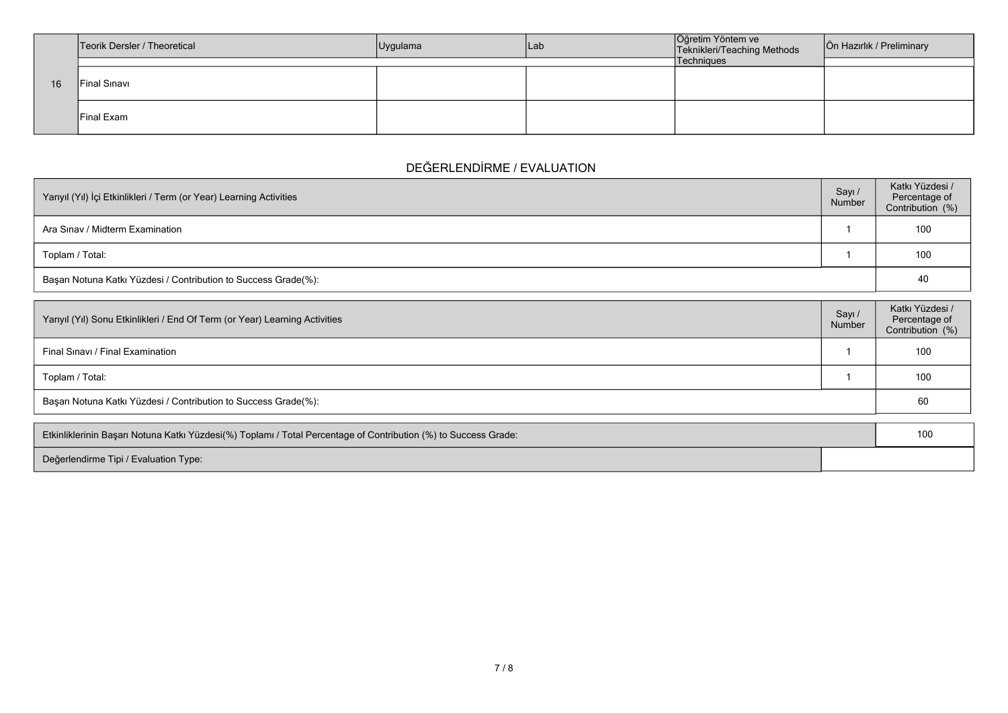|    | Teorik Dersler / Theoretical | Uygulama | Lab | Öğretim Yöntem ve<br>Teknikleri/Teaching Methods | Ön Hazırlık / Preliminary |
|----|------------------------------|----------|-----|--------------------------------------------------|---------------------------|
|    |                              |          |     | Techniques                                       |                           |
| 16 | Final Sinavi                 |          |     |                                                  |                           |
|    | <b>Final Exam</b>            |          |     |                                                  |                           |

# **DEĞERLENDİRME / EVALUATION**

| Yarıyıl (Yıl) İçi Etkinlikleri / Term (or Year) Learning Activities | Sayı/<br>Number | Katkı Yüzdesi /<br>Percentage of<br>Contribution (%) |
|---------------------------------------------------------------------|-----------------|------------------------------------------------------|
| Ara Sinav / Midterm Examination                                     |                 | 100                                                  |
| Toplam / Total:                                                     |                 | 100                                                  |
| Başarı Notuna Katkı Yüzdesi / Contribution to Success Grade(%):     |                 | 40                                                   |

| Yarıyıl (Yıl) Sonu Etkinlikleri / End Of Term (or Year) Learning Activities | Sayı<br>Number | Katkı Yüzdesi /<br>Percentage of<br>Contribution (%) |
|-----------------------------------------------------------------------------|----------------|------------------------------------------------------|
| Final Sinavi / Final Examination                                            |                | 100                                                  |
| Toplam / Total:                                                             |                | 100                                                  |
| Başarı Notuna Katkı Yüzdesi / Contribution to Success Grade(%):             |                | 60                                                   |

| Etkinliklerinin Başarı Notuna Katkı Yüzdesi(%) Toplamı / Total Percentage of Contribution (%) to Success Grade: |  |  |
|-----------------------------------------------------------------------------------------------------------------|--|--|
| Değerlendirme Tipi / Evaluation Type:                                                                           |  |  |